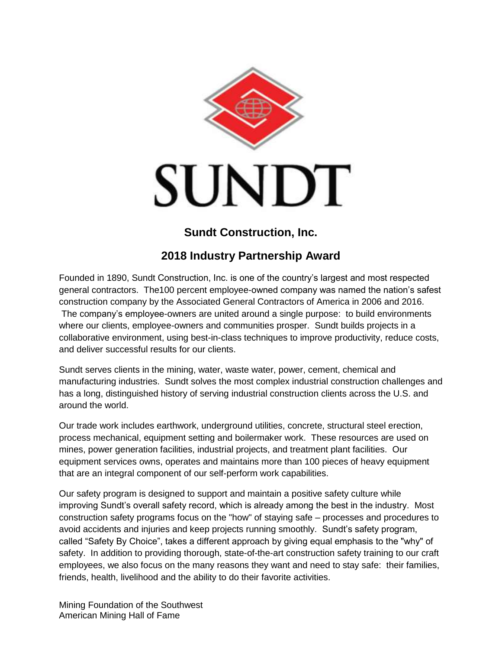

## **Sundt Construction, Inc.**

## **2018 Industry Partnership Award**

Founded in 1890, Sundt Construction, Inc. is one of the country's largest and most respected general contractors. The100 percent employee-owned company was named the nation's safest construction company by the Associated General Contractors of America in 2006 and 2016. The company's employee-owners are united around a single purpose: to build environments where our clients, employee-owners and communities prosper. Sundt builds projects in a collaborative environment, using best-in-class techniques to improve productivity, reduce costs, and deliver successful results for our clients.

Sundt serves clients in the mining, water, waste water, power, cement, chemical and manufacturing industries. Sundt solves the most complex industrial construction challenges and has a long, distinguished history of serving industrial construction clients across the U.S. and around the world.

Our trade work includes earthwork, underground utilities, concrete, structural steel erection, process mechanical, equipment setting and boilermaker work. These resources are used on mines, power generation facilities, industrial projects, and treatment plant facilities. Our equipment services owns, operates and maintains more than 100 pieces of heavy equipment that are an integral component of our self-perform work capabilities.

Our safety program is designed to support and maintain a positive safety culture while improving Sundt's overall safety record, which is already among the best in the industry. Most construction safety programs focus on the "how" of staying safe – processes and procedures to avoid accidents and injuries and keep projects running smoothly. Sundt's safety program, called "Safety By Choice", takes a different approach by giving equal emphasis to the "why" of safety. In addition to providing thorough, state-of-the-art construction safety training to our craft employees, we also focus on the many reasons they want and need to stay safe: their families, friends, health, livelihood and the ability to do their favorite activities.

Mining Foundation of the Southwest American Mining Hall of Fame